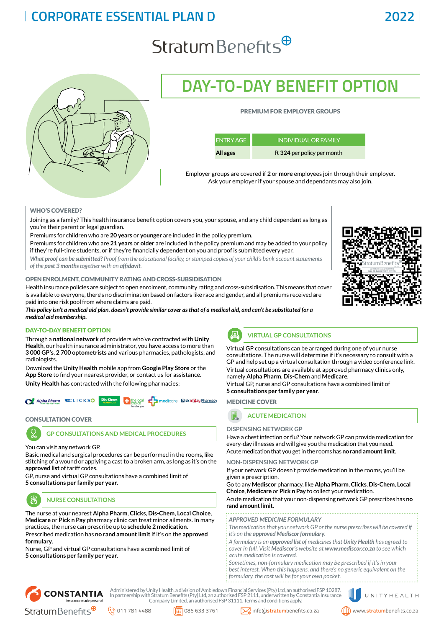## **CORPORATE ESSENTIAL PLAN D 2022**

# $Stratum Benefits^{\oplus}$



## **DAY-TO-DAY BENEFIT OPTION**

## PREMIUM FOR EMPLOYER GROUPS

| <b>ENTRY AGE</b> | ' INDIVIDUAL OR FAMILY.    |
|------------------|----------------------------|
| All ages         | R 324 per policy per month |

Employer groups are covered if **2** or **more** employees join through their employer. Ask your employer if your spouse and dependants may also join.

## WHO'S COVERED?

Joining as a family? This health insurance benefit option covers you, your spouse, and any child dependant as long as you're their parent or legal guardian.

Premiums for children who are **20 years** or **younger** are included in the policy premium.

Premiums for children who are **21 years** or **older** are included in the policy premium and may be added to your policy if they're full-time students, or if they're financially dependent on you and proof is submitted every year.

*What proof can be submitted? Proof from the educational facility, or stamped copies of your child's bank account statements of the past 3 months together with an affidavit.*

### OPEN ENROLMENT, COMMUNITY RATING AND CROSS-SUBSIDISATION

Health insurance policies are subject to open enrolment, community rating and cross-subsidisation. This means that cover is available to everyone, there's no discrimination based on factors like race and gender, and all premiums received are paid into one risk pool from where claims are paid.

*This policy isn't a medical aid plan, doesn't provide similar cover as that of a medical aid, and can't be substituted for a medical aid membership.*

## DAY-TO-DAY BENEFIT OPTION

Through a **national network** of providers who've contracted with **Unity Health**, our health insurance administrator, you have access to more than **3 000 GP's**, **2 700 optometrists** and various pharmacies, pathologists, and radiologists.

Download the **Unity Health** mobile app from **[Google Play Store](http://bit.ly/2JBSI3o)** or the **[App Store](https://apple.co/2LXbwMd)** to find your nearest provider, or contact us for assistance. **Unity Health** has contracted with the following pharmacies:



### CONSULTATION COVER

## **GP CONSULTATIONS AND MEDICAL PROCEDURES**

You can visit **any** network GP.

Basic medical and surgical procedures can be performed in the rooms, like stitching of a wound or applying a cast to a broken arm, as long as it's on the **approved list** of tariff codes.

GP, nurse and virtual GP consultations have a combined limit of **5 consultations per family per year**.



**NURSE CONSULTATIONS**

The nurse at your nearest **Alpha Pharm**, **Clicks**, **Dis-Chem**, **Local Choice**, **Medicare** or **Pick n Pay** pharmacy clinic can treat minor ailments. In many practices, the nurse can prescribe up to **schedule 2 medication**. Prescribed medication has **no rand amount limit** if it's on the **approved formulary**.

Nurse, GP and virtual GP consultations have a combined limit of **5 consultations per family per year**.



## **VIRTUAL GP CONSULTATIONS**

Virtual GP consultations can be arranged during one of your nurse consultations. The nurse will determine if it's necessary to consult with a GP and help set up a virtual consultation through a video conference link. Virtual consultations are available at approved pharmacy clinics only, namely **Alpha Pharm**, **Dis-Chem** and **Medicare**.

Virtual GP, nurse and GP consultations have a combined limit of **5 consultations per family per year**.

MEDICINE COVER



## **DISPENSING NETWORK GP**

Have a chest infection or flu? Your network GP can provide medication for every-day illnesses and will give you the medication that you need. Acute medication that you get in the rooms has **no rand amount limit**.

### **NON-DISPENSING NETWORK GP**

If your network GP doesn't provide medication in the rooms, you'll be given a prescription.

Go to any **Mediscor** pharmacy, like **Alpha Pharm**, **Clicks**, **Dis-Chem**, **Local Choice**, **Medicare** or **Pick n Pay** to collect your medication.

Acute medication that your non-dispensing network GP prescribes has **no rand amount limit**.

#### *APPROVED MEDICINE FORMULARY*

*The medication that your network GP or the nurse prescribes will be covered if it's on the approved Mediscor formulary.* 

*A formulary is an approved list of medicines that Unity Health has agreed to cover in full. Visit Mediscor's website at www.mediscor.co.za to see which acute medication is covered.*

*Sometimes, non-formulary medication may be prescribed if it's in your best interest. When this happens, and there's no generic equivalent on the formulary, the cost will be for your own pocket.*



Administered by Unity Health, a division of Ambledown Financial Services (Pty) Ltd, an authorised FSP 10287. In partnership with Stratum Benefits (Pty) Ltd, an authorised FSP 2111, underwritten by Constantia Insurance Company Limited, an authorised FSP 31111. Terms and conditions apply.



UNITYHEALTH